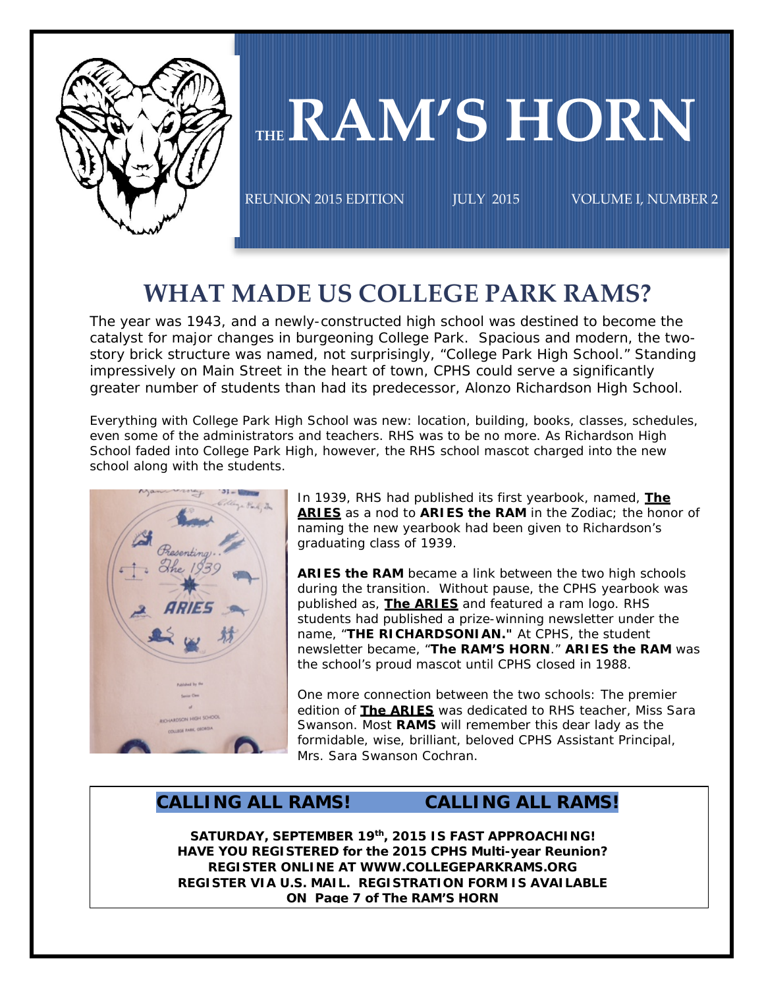

# THE RAM'S HORN

REUNION 2015 EDITION JULY 2015 VOLUME I, NUMBER 2  $\overline{\phantom{0}}$ 

# **WHAT MADE US COLLEGE PARK RAMS?**

The year was 1943, and a newly-constructed high school was destined to become the catalyst for major changes in burgeoning College Park. Spacious and modern, the twostory brick structure was named, not surprisingly, "College Park High School." Standing impressively on Main Street in the heart of town, CPHS could serve a significantly greater number of students than had its predecessor, Alonzo Richardson High School.

Everything with College Park High School was new: location, building, books, classes, schedules, even some of the administrators and teachers. RHS was to be no more. As Richardson High School faded into College Park High, however, the RHS school mascot charged into the new school along with the students.



In 1939, RHS had published its first yearbook, named, **The ARIES** as a nod to **ARIES the RAM** in the Zodiac; the honor of naming the new yearbook had been given to Richardson's graduating class of 1939.

**ARIES the RAM** became a link between the two high schools during the transition. Without pause, the CPHS yearbook was published as, **The ARIES** and featured a ram logo. RHS students had published a prize-winning newsletter under the name, "**THE RICHARDSONIAN."** At CPHS, the student newsletter became, "**The RAM'S HORN**." **ARIES the RAM** was the school's proud mascot until CPHS closed in 1988.

One more connection between the two schools: The premier edition of **The ARIES** was dedicated to RHS teacher, Miss Sara Swanson. Most **RAMS** will remember this dear lady as the formidable, wise, brilliant, beloved CPHS Assistant Principal, Mrs. Sara Swanson Cochran.

## **CALLING ALL RAMS! CALLING ALL RAMS!**

**SATURDAY, SEPTEMBER 19th, 2015 IS FAST APPROACHING! HAVE YOU REGISTERED for the 2015 CPHS Multi-year Reunion? REGISTER ONLINE AT WWW.COLLEGEPARKRAMS.ORG REGISTER VIA U.S. MAIL. REGISTRATION FORM IS AVAILABLE ON Page 7 of The RAM'S HORN**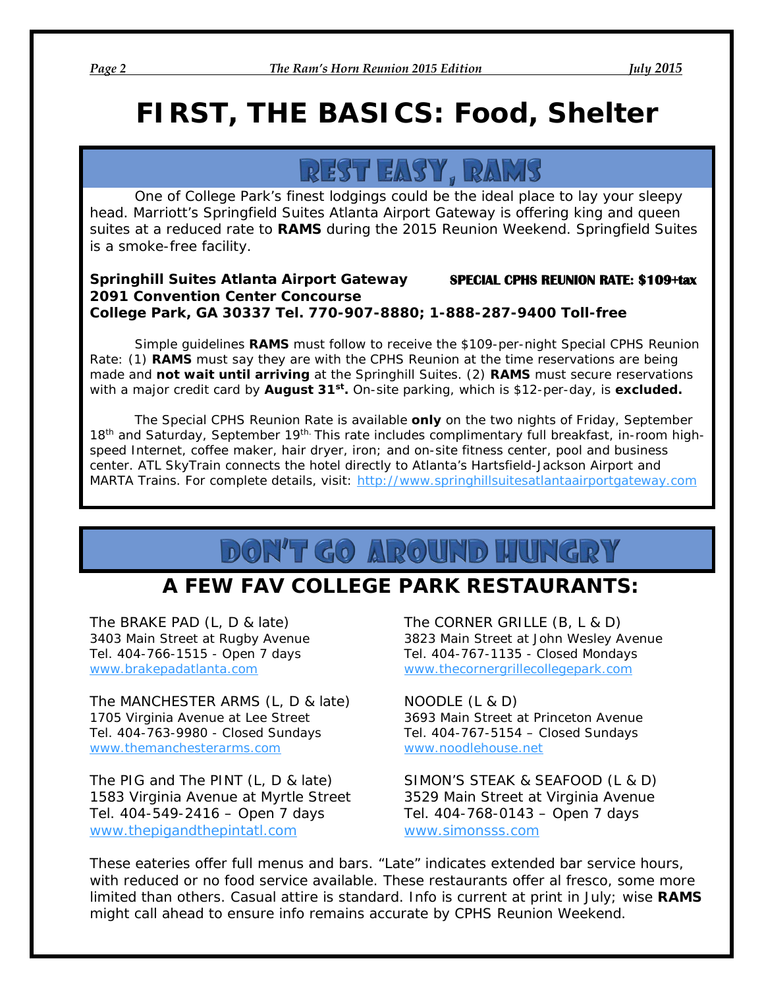# **FIRST, THE BASICS:** *Food, Shelter*

REST EASY, RAMS

One of College Park's finest lodgings could be the ideal place to lay your sleepy head. Marriott's Springfield Suites Atlanta Airport Gateway is offering king and queen suites at a reduced rate to **RAMS** during the 2015 Reunion Weekend. Springfield Suites is a smoke-free facility.

## *Springhill Suites Atlanta Airport Gateway* **SPECIAL CPHS REUNION RATE: \$109+tax** *2091 Convention Center Concourse College Park, GA 30337 Tel. 770-907-8880; 1-888-287-9400 Toll-free*

Simple guidelines **RAMS** must follow to receive the \$109-per-night Special CPHS Reunion Rate: (1) **RAMS** must say they are with the CPHS Reunion at the time reservations are being made and **n***ot wait until arriving* at the Springhill Suites. (2) **RAMS** must secure reservations with a major credit card by *August 31st***.** On-site parking, which is \$12-per-day, is **excluded.**

The Special CPHS Reunion Rate is available *only* on the two nights of Friday, September 18<sup>th</sup> and Saturday, September 19<sup>th.</sup> This rate includes complimentary full breakfast, in-room highspeed Internet, coffee maker, hair dryer, iron; and on-site fitness center, pool and business center. ATL SkyTrain connects the hotel directly to Atlanta's Hartsfield-Jackson Airport and MARTA Trains. For complete details, visit: [http://www.springhillsuitesatlantaairportgateway.com](http://www.springhillsuitesatlantaairportgateway.com/)

# **DON'T GO AROUND HUNGRY**

# **A FEW FAV COLLEGE PARK RESTAURANTS:**

The MANCHESTER ARMS (L, D & late) NOODLE (L & D) 1705 Virginia Avenue at Lee Street 3693 Main Street at Princeton Avenue Tel. 404-763-9980 - Closed Sundays Tel. 404-767-5154 – Closed Sundays [www.themanchesterarms.com](http://www.themanchesterarms.com/) [www.noodlehouse.net](http://www.noodlehouse.net/)

The PIG and The PINT (L, D & late) SIMON'S STEAK & SEAFOOD (L & D) 1583 Virginia Avenue at Myrtle Street 3529 Main Street at Virginia Avenue Tel. 404-549-2416 – Open 7 days Tel. 404-768-0143 – Open 7 days [www.thepigandthepintatl.com](http://www.thepigandthepintatl.com/) [www.simonsss.com](http://www.simonsss.com/)

The BRAKE PAD (L, D & late) The CORNER GRILLE (B, L & D) 3403 Main Street at Rugby Avenue 3823 Main Street at John Wesley Avenue Tel. 404-766-1515 - Open 7 days Tel. 404-767-1135 - Closed Mondays [www.brakepadatlanta.com](http://www.rakepadatlanta.com/) [www.thecornergrillecollegepark.com](http://www.thecornergrillecollegepark.com/)

These eateries offer full menus and bars. "Late" indicates extended bar service hours, with reduced or no food service available. These restaurants offer al fresco, some more limited than others. Casual attire is standard. Info is current at print in July; wise **RAMS** might call ahead to ensure info remains accurate by CPHS Reunion Weekend.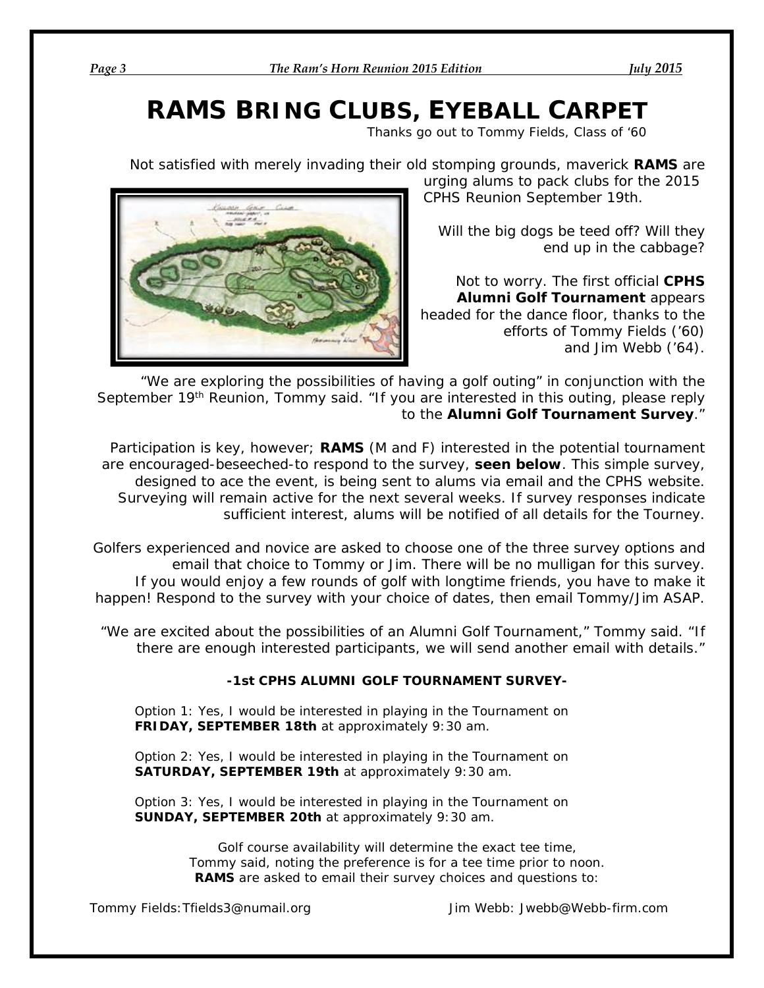# *RAMS BRING CLUBS, EYEBALL CARPET*

 *Thanks go out to Tommy Fields, Class of '60*

Not satisfied with merely invading their old stomping grounds, maverick **RAMS** are



urging alums to pack clubs for the 2015 CPHS Reunion September 19th.

Will the big dogs be teed off? Will they end up in the cabbage?

Not to worry. The first official **CPHS Alumni Golf Tournament** appears headed for the dance floor, thanks to the efforts of Tommy Fields ('60) and Jim Webb ('64).

"We are exploring the possibilities of having a golf outing" in conjunction with the September 19<sup>th</sup> Reunion, Tommy said. "If you are interested in this outing, please reply to the **Alumni Golf Tournament Survey**."

Participation is key, however; **RAMS** (M and F) interested in the potential tournament are encouraged-*beseeched*-to respond to the survey, **seen below**. This simple survey, designed to ace the event, is being sent to alums via email and the CPHS website. Surveying will remain active for the next several weeks. If survey responses indicate sufficient interest, alums will be notified of all details for the Tourney.

Golfers experienced and novice are asked to choose one of the three survey options and email that choice to Tommy or Jim. There will be no mulligan for this survey. If you would enjoy a few rounds of golf with longtime friends, you have to make it happen! Respond to the survey with your choice of dates, then email Tommy/Jim ASAP.

"We are excited about the possibilities of an Alumni Golf Tournament," Tommy said. "If there are enough interested participants, we will send another email with details."

## **-1st CPHS ALUMNI GOLF TOURNAMENT SURVEY-**

*Option 1:* Yes, I would be interested in playing in the Tournament on **FRIDAY, SEPTEMBER 18th** at approximately 9:30 am.

*Option 2*: Yes, I would be interested in playing in the Tournament on **SATURDAY, SEPTEMBER 19th** at approximately 9:30 am.

*Option 3:* Yes, I would be interested in playing in the Tournament on **SUNDAY, SEPTEMBER 20th** at approximately 9:30 am.

> Golf course availability will determine the exact tee time, Tommy said, noting the preference is for a tee time prior to noon. **RAMS** are asked to email their survey choices and questions to:

Tommy Fields: Tfields3@numail.org Jim Webb: Jwebb@Webb-firm.com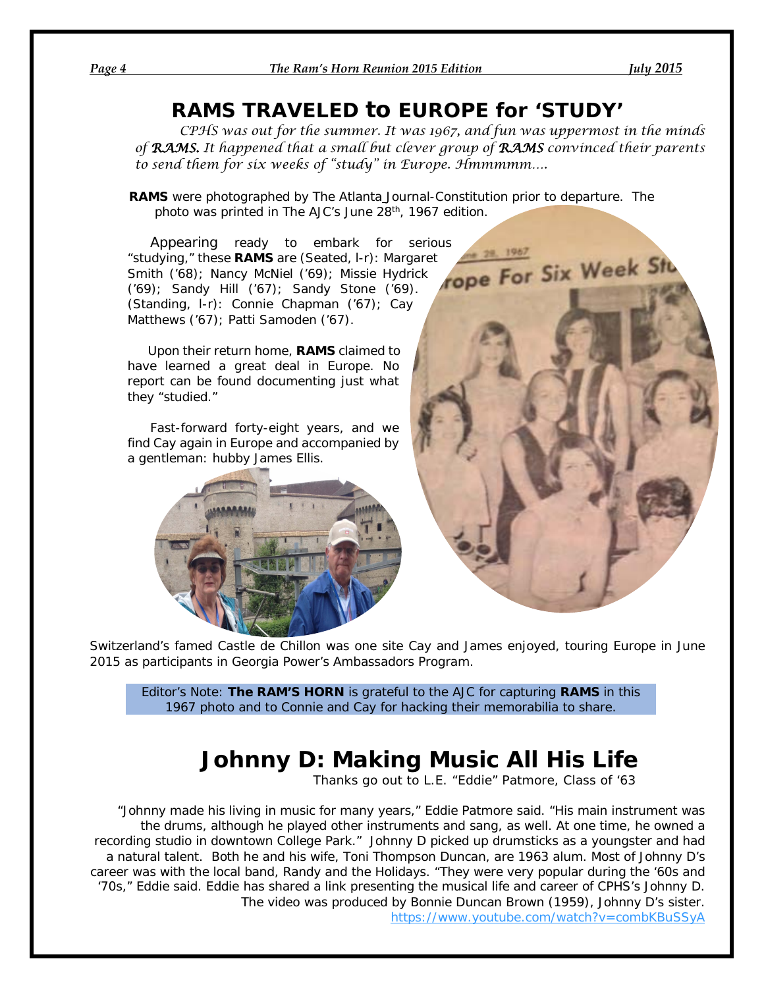# *RAMS TRAVELED to EUROPE for 'STUDY'*

*CPHS was out for the summer. It was 1967, and fun was uppermost in the minds of RAMS. It happened that a small but clever group of RAMS convinced their parents to send them for six weeks of "study" in Europe. Hmmmmm….*

**RAMS** were photographed by *The Atlanta Journal-Constitution* prior to departure. The photo was printed in The AJC's June 28<sup>th</sup>, 1967 edition.

Appearing ready to embark for serious<br>udying," these **RAMS** are (Seated, I-r): Margaret<br>ith ('68); Nancy McNiel ('69); Missie Hydrick<br>); Sandy Hill ('67); Sandy Charles ('1981) "studying," these **RAMS** are (Seated, l-r): Margaret Smith ('68); Nancy McNiel ('69); Missie Hydrick ('69); Sandy Hill ('67); Sandy Stone ('69). (Standing, l-r): Connie Chapman ('67); Cay Matthews ('67); Patti Samoden ('67).

 Upon their return home, **RAMS** claimed to have learned a great deal in Europe. No report can be found documenting just what they "studied."

 Fast-forward forty-eight years, and we find Cay again in Europe and accompanied by a gentleman: hubby James Ellis.





Switzerland's famed Castle de Chillon was one site Cay and James enjoyed, touring Europe in June 2015 as participants in Georgia Power's Ambassadors Program.

*Editor's Note: The RAM'S HORN is grateful to the AJC for capturing RAMS in this 1967 photo and to Connie and Cay for hacking their memorabilia to share.*

# **Johnny D: Making Music All His Life**

 *Thanks go out to L.E. "Eddie" Patmore, Class of '63*

"Johnny made his living in music for many years," Eddie Patmore said. "His main instrument was the drums, although he played other instruments and sang, as well. At one time, he owned a recording studio in downtown College Park." Johnny D picked up drumsticks as a youngster and had a natural talent. Both he and his wife, Toni Thompson Duncan, are 1963 alum. Most of Johnny D's career was with the local band, *Randy and the Holidays.* "They were very popular during the '60s and '70s," Eddie said. Eddie has shared a link presenting the musical life and career of CPHS's Johnny D. The video was produced by Bonnie Duncan Brown (1959), Johnny D's sister. <https://www.youtube.com/watch?v=combKBuSSyA>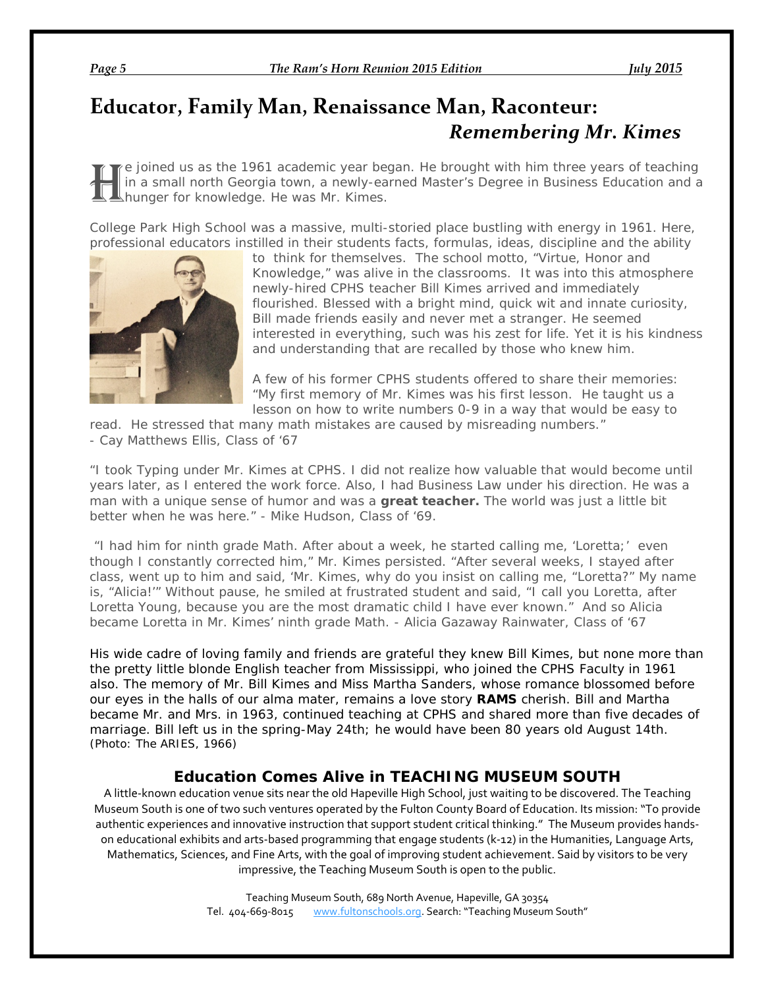# **Educator, Family Man, Renaissance Man, Raconteur:**  *Remembering Mr. Kimes*

e joined us as the 1961 academic year began. He brought with him three years of teaching in a small north Georgia town, a newly-earned Master's Degree in Business Education and a hunger for knowledge. He was Mr. Kimes. H

College Park High School was a massive, multi-storied place bustling with energy in 1961. Here, professional educators instilled in their students facts, formulas, ideas, discipline and the ability



to think for themselves. The school motto, "Virtue, Honor and Knowledge," was alive in the classrooms. It was into this atmosphere newly-hired CPHS teacher Bill Kimes arrived and immediately flourished. Blessed with a bright mind, quick wit and innate curiosity, Bill made friends easily and never met a stranger. He seemed interested in everything, such was his zest for life. Yet it is his kindness and understanding that are recalled by those who knew him.

A few of his former CPHS students offered to share their memories: "My first memory of Mr. Kimes was his first lesson. He taught us a lesson on how to write numbers 0-9 in a way that would be easy to

read. He stressed that many math mistakes are caused by misreading numbers." - *Cay Matthews Ellis, Class of '67*

"I took Typing under Mr. Kimes at CPHS. I did not realize how valuable that would become until years later, as I entered the work force. Also, I had Business Law under his direction. He was a man with a unique sense of humor and was a **great teacher.** The world was just a little bit better when he was here." - *Mike Hudson, Class of '69.*

"I had him for ninth grade Math. After about a week, he started calling me, 'Loretta;' even though I constantly corrected him," Mr. Kimes persisted. "After several weeks, I stayed after class, went up to him and said, 'Mr. Kimes, why do you insist on calling me, "Loretta?" My name is, "Alicia!'" Without pause, he smiled at frustrated student and said, "I call you Loretta, after Loretta Young, because you are the most *dramatic* child I have ever known." And so Alicia became Loretta in Mr. Kimes' ninth grade Math. - *Alicia Gazaway Rainwater, Class of '67*

His wide cadre of loving family and friends are grateful they knew Bill Kimes, but none more than the pretty little blonde English teacher from Mississippi, who joined the CPHS Faculty in 1961 also. The memory of Mr. Bill Kimes and Miss Martha Sanders, whose romance blossomed before our eyes in the halls of our alma mater, remains a love story **RAMS** cherish. Bill and Martha became Mr. and Mrs. in 1963, continued teaching at CPHS and shared more than five decades of marriage. Bill left us in the spring-May 24th; he would have been 80 years old August 14th. *(Photo: The ARIES, 1966)*

## *Education Comes Alive in TEACHING MUSEUM SOUTH*

A little-known education venue sits near the old Hapeville High School, just waiting to be discovered. The Teaching Museum South is one of two such ventures operated by the Fulton County Board of Education. Its mission: "To provide authentic experiences and innovative instruction that support student critical thinking." The Museum provides handson educational exhibits and arts-based programming that engage students (k-12) in the Humanities, Language Arts, Mathematics, Sciences, and Fine Arts, with the goal of improving student achievement. Said by visitors to be very impressive, the Teaching Museum South is open to the public.

> Teaching Museum South, 689 North Avenue, Hapeville, GA 30354 Tel. 404-669-8015 [www.fultonschools.org.](http://www.fultonschools.org/) Search: "Teaching Museum South"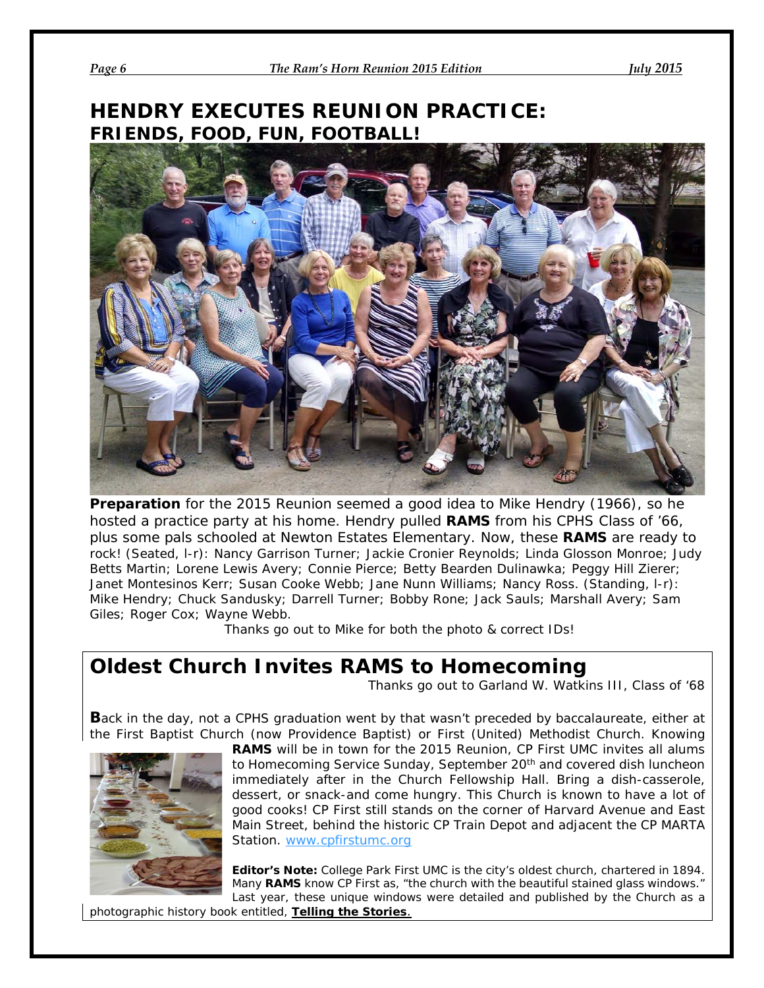# **HENDRY EXECUTES REUNION PRACTICE: FRIENDS, FOOD, FUN, FOOTBALL!**



**Preparation** for the 2015 Reunion seemed a good idea to Mike Hendry (1966), so he hosted a practice party at his home. Hendry pulled **RAMS** from his CPHS Class of '66, plus some pals schooled at Newton Estates Elementary. Now, these **RAMS** are ready to rock! (Seated, l-r): Nancy Garrison Turner; Jackie Cronier Reynolds; Linda Glosson Monroe; Judy Betts Martin; Lorene Lewis Avery; Connie Pierce; Betty Bearden Dulinawka; Peggy Hill Zierer; Janet Montesinos Kerr; Susan Cooke Webb; Jane Nunn Williams; Nancy Ross. (Standing, l-r): Mike Hendry; Chuck Sandusky; Darrell Turner; Bobby Rone; Jack Sauls; Marshall Avery; Sam Giles; Roger Cox; Wayne Webb.

*Thanks go out to Mike for both the photo & correct IDs!*

# **Oldest Church Invites RAMS to Homecoming**

*Thanks go out to Garland W. Watkins III, Class of '68*

**B**ack in the day, not a CPHS graduation went by that wasn't preceded by baccalaureate, either at the First Baptist Church (now Providence Baptist) or First (United) Methodist Church. Knowing



**RAMS** will be in town for the 2015 Reunion, CP First UMC invites all alums to Homecoming Service Sunday, September 20<sup>th</sup> and covered dish luncheon immediately after in the Church Fellowship Hall. Bring a dish-casserole, dessert, or snack-and come hungry. This Church is known to have a lot of good cooks! CP First still stands on the corner of Harvard Avenue and East Main Street, behind the historic CP Train Depot and adjacent the CP MARTA Station. [www.cpfirstumc.org](http://www.cpfirstumc.org/)

*Editor's Note: College Park First UMC is the city's oldest church, chartered in 1894. Many RAMS know CP First as, "the church with the beautiful stained glass windows."*  Last year, these unique windows were detailed and published by the Church as a

*photographic history book entitled, Telling the Stories.*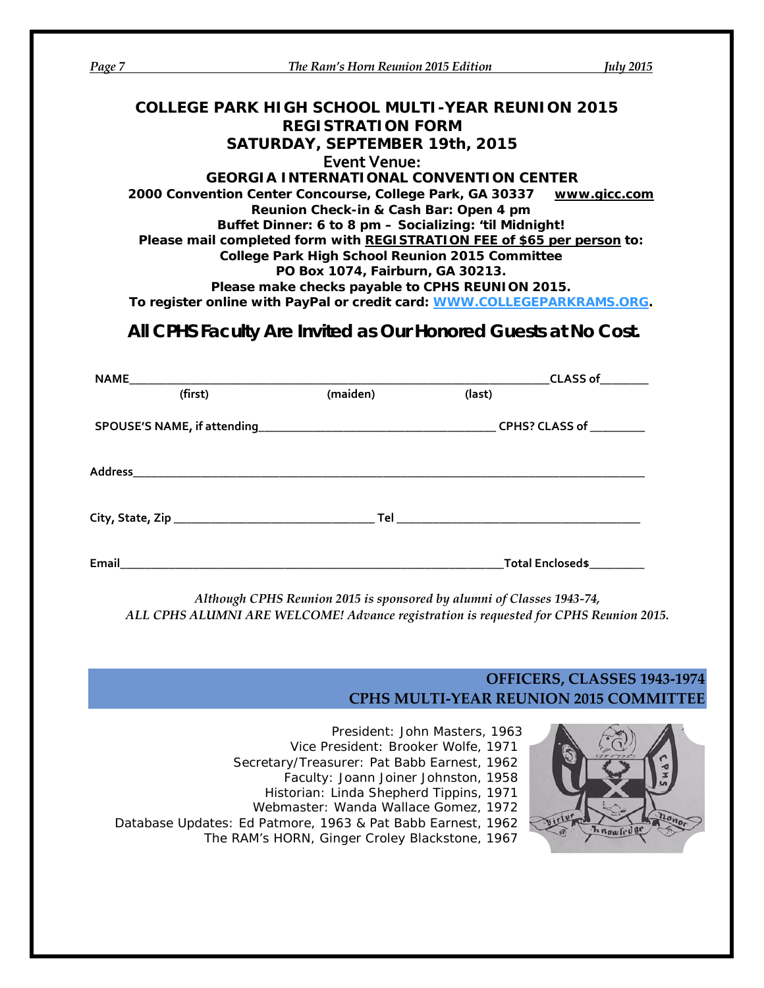| Page 7 | <b>The Ram's Horn Reunion 2015 Edition</b>                                                 |                                                       | <b>July 2015</b> |
|--------|--------------------------------------------------------------------------------------------|-------------------------------------------------------|------------------|
|        |                                                                                            |                                                       |                  |
|        | <b>COLLEGE PARK HIGH SCHOOL MULTI-YEAR REUNION 2015</b>                                    |                                                       |                  |
|        | <b>REGISTRATION FORM</b>                                                                   |                                                       |                  |
|        | SATURDAY, SEPTEMBER 19th, 2015<br><b>Event Venue:</b>                                      |                                                       |                  |
|        | <b>GEORGIA INTERNATIONAL CONVENTION CENTER</b>                                             |                                                       |                  |
|        | 2000 Convention Center Concourse, College Park, GA 30337 WWW.gicc.com                      |                                                       |                  |
|        | Reunion Check-in & Cash Bar: Open 4 pm                                                     |                                                       |                  |
|        | Buffet Dinner: 6 to 8 pm - Socializing: 'til Midnight!                                     |                                                       |                  |
|        | Please mail completed form with REGISTRATION FEE of \$65 per person to:                    |                                                       |                  |
|        | <b>College Park High School Reunion 2015 Committee</b><br>PO Box 1074, Fairburn, GA 30213. |                                                       |                  |
|        |                                                                                            |                                                       |                  |
|        | Please make checks payable to CPHS REUNION 2015.                                           |                                                       |                  |
|        | To register online with PayPal or credit card: WWW.COLLEGEPARKRAMS.ORG.                    |                                                       |                  |
|        | All CPHS Faculty Are Invited as Our Honored Guests at No Cost.                             |                                                       |                  |
|        |                                                                                            | _________________________CLASS of__________<br>(last) |                  |
|        |                                                                                            |                                                       |                  |
|        |                                                                                            |                                                       |                  |
|        |                                                                                            |                                                       |                  |
|        |                                                                                            |                                                       |                  |
|        |                                                                                            |                                                       |                  |
|        |                                                                                            |                                                       |                  |
|        |                                                                                            |                                                       |                  |

*ALL CPHS ALUMNI ARE WELCOME! Advance registration is requested for CPHS Reunion 2015.*

## **OFFICERS, CLASSES 1943-1974 CPHS MULTI-YEAR REUNION 2015 COMMITTEE**

*President*: John Masters, 1963 *Vice President*: Brooker Wolfe, 1971 *Secretary/Treasurer*: Pat Babb Earnest, 1962 *Faculty*: Joann Joiner Johnston, 1958 *Historian*: Linda Shepherd Tippins, 1971 *Webmaster*: Wanda Wallace Gomez, 1972 *Database Updates*: Ed Patmore, 1963 & Pat Babb Earnest, 1962 *The RAM's HORN*, Ginger Croley Blackstone, 1967